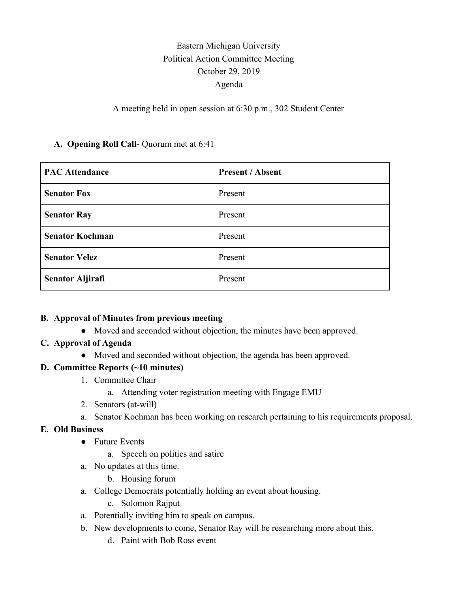# Eastern Michigan University Political Action Committee Meeting October 29, 2019 Agenda

#### A meeting held in open session at 6:30 p.m., 302 Student Center

#### **A. Opening Roll Call-** Quorum met at 6:41

| <b>PAC Attendance</b>   | <b>Present / Absent</b> |
|-------------------------|-------------------------|
| <b>Senator Fox</b>      | Present                 |
| <b>Senator Ray</b>      | Present                 |
| <b>Senator Kochman</b>  | Present                 |
| <b>Senator Velez</b>    | Present                 |
| <b>Senator Aljirafi</b> | Present                 |

#### **B. Approval of Minutes from previous meeting**

● Moved and seconded without objection, the minutes have been approved.

# **C. Approval of Agenda**

● Moved and seconded without objection, the agenda has been approved.

# **D. Committee Reports (~10 minutes)**

- 1. Committee Chair
	- a. Attending voter registration meeting with Engage EMU
- 2. Senators (at-will)
- a. Senator Kochman has been working on research pertaining to his requirements proposal.

# **E. Old Business**

- Future Events
	- a. Speech on politics and satire
- a. No updates at this time.
	- b. Housing forum
- a. College Democrats potentially holding an event about housing.
	- c. Solomon Rajput
- a. Potentially inviting him to speak on campus.
- b. New developments to come, Senator Ray will be researching more about this.
	- d. Paint with Bob Ross event